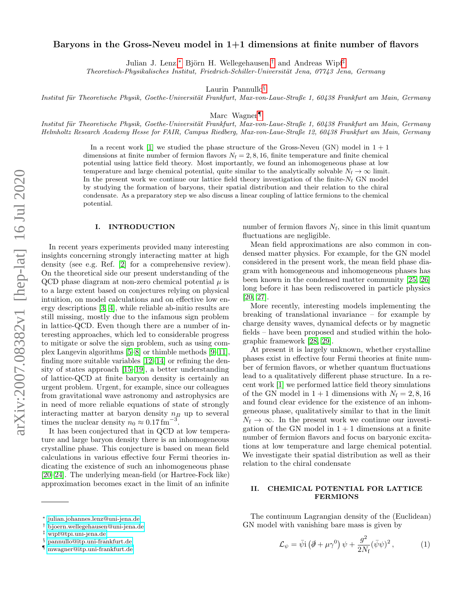# Baryons in the Gross-Neveu model in  $1+1$  dimensions at finite number of flavors

Julian J. Lenz,\* Björn H. Wellegehausen,<sup>[†](#page-0-1)</sup> and Andreas Wipf<sup>[‡](#page-0-2)</sup>

Theoretisch-Physikalisches Institut, Friedrich-Schiller-Universität Jena, 07743 Jena, Germany

Laurin Pannullo<sup>[§](#page-0-3)</sup>

Institut für Theoretische Physik, Goethe-Universität Frankfurt, Max-von-Laue-Straße 1, 60438 Frankfurt am Main, Germany

Marc Wagner<sup>[¶](#page-0-4)</sup>

Institut für Theoretische Physik, Goethe-Universität Frankfurt, Max-von-Laue-Straße 1, 60438 Frankfurt am Main, Germany Helmholtz Research Academy Hesse for FAIR, Campus Riedberg, Max-von-Laue-Straße 12, 60438 Frankfurt am Main, Germany

> In a recent work [\[1\]](#page-9-0) we studied the phase structure of the Gross-Neveu (GN) model in  $1 + 1$ dimensions at finite number of fermion flavors  $N_f = 2, 8, 16$ , finite temperature and finite chemical potential using lattice field theory. Most importantly, we found an inhomogeneous phase at low temperature and large chemical potential, quite similar to the analytically solvable  $N_f \to \infty$  limit. In the present work we continue our lattice field theory investigation of the finite- $N_f$  GN model by studying the formation of baryons, their spatial distribution and their relation to the chiral condensate. As a preparatory step we also discuss a linear coupling of lattice fermions to the chemical potential.

# I. INTRODUCTION

In recent years experiments provided many interesting insights concerning strongly interacting matter at high density (see e.g. Ref. [\[2\]](#page-9-1) for a comprehensive review). On the theoretical side our present understanding of the QCD phase diagram at non-zero chemical potential  $\mu$  is to a large extent based on conjectures relying on physical intuition, on model calculations and on effective low energy descriptions [\[3,](#page-10-0) [4\]](#page-10-1), while reliable ab-initio results are still missing, mostly due to the infamous sign problem in lattice-QCD. Even though there are a number of interesting approaches, which led to considerable progress to mitigate or solve the sign problem, such as using complex Langevin algorithms [\[5–](#page-10-2)[8\]](#page-10-3) or thimble methods [\[9](#page-10-4)[–11\]](#page-10-5), finding more suitable variables [\[12–](#page-10-6)[14\]](#page-10-7) or refining the density of states approach [\[15–](#page-10-8)[19\]](#page-10-9), a better understanding of lattice-QCD at finite baryon density is certainly an urgent problem. Urgent, for example, since our colleagues from gravitational wave astronomy and astrophysics are in need of more reliable equations of state of strongly interacting matter at baryon density  $n_B$  up to several times the nuclear density  $n_0 \approx 0.17 \,\mathrm{fm}^{-3}$ .

It has been conjectured that in QCD at low temperature and large baryon density there is an inhomogeneous crystalline phase. This conjecture is based on mean field calculations in various effective four Fermi theories indicating the existence of such an inhomogeneous phase [\[20–](#page-10-10)[24\]](#page-10-11). The underlying mean-field (or Hartree-Fock like) approximation becomes exact in the limit of an infinite

number of fermion flavors  $N_f$ , since in this limit quantum fluctuations are negligible.

Mean field approximations are also common in condensed matter physics. For example, for the GN model considered in the present work, the mean field phase diagram with homogeneous and inhomogeneous phases has been known in the condensed matter community [\[25,](#page-10-12) [26\]](#page-10-13) long before it has been rediscovered in particle physics [\[20,](#page-10-10) [27\]](#page-10-14).

More recently, interesting models implementing the breaking of translational invariance – for example by charge density waves, dynamical defects or by magnetic fields – have been proposed and studied within the holographic framework [\[28,](#page-10-15) [29\]](#page-10-16).

At present it is largely unknown, whether crystalline phases exist in effective four Fermi theories at finite number of fermion flavors, or whether quantum fluctuations lead to a qualitatively different phase structure. In a recent work [\[1\]](#page-9-0) we performed lattice field theory simulations of the GN model in  $1+1$  dimensions with  $N_f = 2, 8, 16$ and found clear evidence for the existence of an inhomgeneous phase, qualitatively similar to that in the limit  $N_f \rightarrow \infty$ . In the present work we continue our investigation of the GN model in  $1 + 1$  dimensions at a finite number of fermion flavors and focus on baryonic excitations at low temperature and large chemical potential. We investigate their spatial distribution as well as their relation to the chiral condensate

## II. CHEMICAL POTENTIAL FOR LATTICE FERMIONS

The continuum Lagrangian density of the (Euclidean) GN model with vanishing bare mass is given by

<span id="page-0-5"></span>
$$
\mathcal{L}_{\psi} = \bar{\psi} \mathbf{i} \left( \partial \!\!\!/ + \mu \gamma^0 \right) \psi + \frac{g^2}{2N_f} (\bar{\psi} \psi)^2 \,, \tag{1}
$$

<span id="page-0-0"></span><sup>∗</sup> [julian.johannes.lenz@uni-jena.de](mailto:julian.johannes.lenz@uni-jena.de)

<span id="page-0-1"></span><sup>†</sup> [bjoern.wellegehausen@uni-jena.de](mailto:bjoern.wellegehausen@uni-jena.de)

<span id="page-0-2"></span><sup>‡</sup> [wipf@tpi.uni-jena.de](mailto:wipf@tpi.uni-jena.de)

<span id="page-0-3"></span><sup>§</sup> [pannullo@itp.uni-frankfurt.de](mailto:pannullo@itp.uni-frankfurt.de)

<span id="page-0-4"></span><sup>¶</sup> [mwagner@itp.uni-frankfurt.de](mailto:mwagner@itp.uni-frankfurt.de)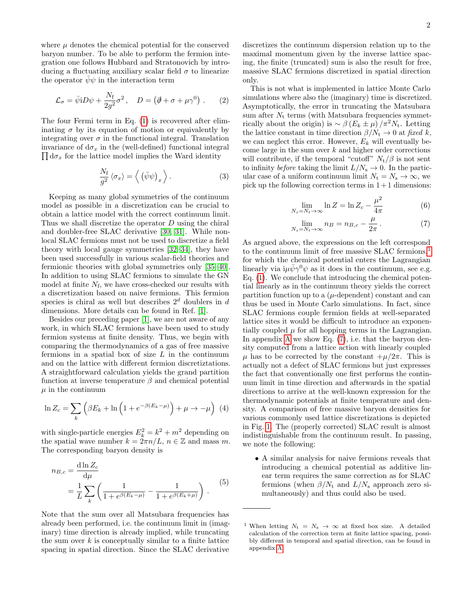where  $\mu$  denotes the chemical potential for the conserved baryon number. To be able to perform the fermion integration one follows Hubbard and Stratonovich by introducing a fluctuating auxiliary scalar field  $\sigma$  to linearize the operator  $\psi \psi$  in the interaction term

$$
\mathcal{L}_{\sigma} = \bar{\psi} i D \psi + \frac{N_{\rm f}}{2g^2} \sigma^2 \,, \quad D = (\partial + \sigma + \mu \gamma^0) \,. \tag{2}
$$

The four Fermi term in Eq. [\(1\)](#page-0-5) is recovered after eliminating  $\sigma$  by its equation of motion or equivalently by integrating over  $\sigma$  in the functional integral. Translation invariance of  $d\sigma_x$  in the (well-defined) functional integral  $\prod d\sigma_x$  for the lattice model implies the Ward identity  $\prod d\sigma_x$  for the lattice model implies the Ward identity

$$
\frac{N_{\rm f}}{g^2} \langle \sigma_x \rangle = \langle \left( \bar{\psi} \psi \right)_x \rangle. \tag{3}
$$

Keeping as many global symmetries of the continuum model as possible in a discretization can be crucial to obtain a lattice model with the correct continuum limit. Thus we shall discretize the operator  $D$  using the chiral and doubler-free SLAC derivative [\[30,](#page-10-17) [31\]](#page-10-18). While nonlocal SLAC fermions must not be used to discretize a field theory with local gauge symmetries [\[32–](#page-10-19)[34\]](#page-10-20), they have been used successfully in various scalar-field theories and fermionic theories with global symmetries only [\[35](#page-10-21)[–40\]](#page-10-22). In addition to using SLAC fermions to simulate the GN model at finite  $N_f$ , we have cross-checked our results with a discretization based on naive fermions. This fermion species is chiral as well but describes  $2<sup>d</sup>$  doublers in d dimensions. More details can be found in Ref. [\[1\]](#page-9-0).

Besides our preceding paper [\[1\]](#page-9-0), we are not aware of any work, in which SLAC fermions have been used to study fermion systems at finite density. Thus, we begin with comparing the thermodynamics of a gas of free massive fermions in a spatial box of size  $L$  in the continuum and on the lattice with different fermion discretiztations. A straightforward calculation yields the grand partition function at inverse temperature  $\beta$  and chemical potential  $\mu$  in the continuum

$$
\ln Z_c = \sum_{k} \left( \beta E_k + \ln \left( 1 + e^{-\beta (E_k - \mu)} \right) + \mu \to -\mu \right) (4)
$$

with single-particle energies  $E_k^2 = k^2 + m^2$  depending on the spatial wave number  $k = 2\pi n/L$ ,  $n \in \mathbb{Z}$  and mass m. The corresponding baryon density is

$$
n_{B,c} = \frac{d \ln Z_c}{d \mu} = \frac{1}{L} \sum_{k} \left( \frac{1}{1 + e^{\beta(E_k - \mu)}} - \frac{1}{1 + e^{\beta(E_k + \mu)}} \right).
$$
(5)

Note that the sum over all Matsubara frequencies has already been performed, i.e. the continuum limit in (imaginary) time direction is already implied, while truncating the sum over  $k$  is conceptually similar to a finite lattice spacing in spatial direction. Since the SLAC derivative

discretizes the continuum dispersion relation up to the maximal momentum given by the inverse lattice spacing, the finite (truncated) sum is also the result for free, massive SLAC fermions discretized in spatial direction only.

<span id="page-1-2"></span>This is not what is implemented in lattice Monte Carlo simulations where also the (imaginary) time is discretized. Asymptotically, the error in truncating the Matsubara sum after  $N_t$  terms (with Matsubara frequencies symmetrically about the origin) is  $\sim \beta (E_k \pm \mu)/\pi^2 N_t$ . Letting the lattice constant in time direction  $\beta/N_t \to 0$  at fixed k, we can neglect this error. However,  $E_k$  will eventually become large in the sum over  $k$  and higher order corrections will contribute, if the temporal "cutoff"  $N_t/\beta$  is not sent to infinity before taking the limit  $L/N_s \to 0$ . In the particular case of a uniform continuum limit  $N_t = N_s \rightarrow \infty$ , we pick up the following correction terms in  $1+1$  dimensions:

$$
\lim_{N_s = N_t \to \infty} \ln Z = \ln Z_c - \frac{\mu^2}{4\pi} \tag{6}
$$

<span id="page-1-1"></span>
$$
\lim_{N_s = N_t \to \infty} n_B = n_{B,c} - \frac{\mu}{2\pi}.
$$
 (7)

As argued above, the expressions on the left correspond to the continuum limit of free massive SLAC fermions,<sup>[1](#page-1-0)</sup> for which the chemical potential enters the Lagrangian linearly via  $i\mu \bar{\psi} \gamma^0 \psi$  as it does in the continuum, see e.g. Eq. [\(1\)](#page-0-5). We conclude that introducing the chemical potential linearly as in the continuum theory yields the correct partition function up to a  $(\mu$ -dependent) constant and can thus be used in Monte Carlo simulations. In fact, since SLAC fermions couple fermion fields at well-separated lattice sites it would be difficult to introduce an exponentially coupled  $\mu$  for all hopping terms in the Lagrangian. In appendix [A](#page-8-0) we show Eq.  $(7)$ , i.e. that the baryon density computed from a lattice action with linearly coupled  $\mu$  has to be corrected by the constant  $+\mu/2\pi$ . This is actually not a defect of SLAC fermions but just expresses the fact that conventionally one first performs the continuum limit in time direction and afterwards in the spatial directions to arrive at the well-known expression for the thermodynamic potentials at finite temperature and density. A comparison of free massive baryon densities for various commonly used lattice discretizations is depicted in Fig. [1.](#page-2-0) The (properly corrected) SLAC result is almost indistinguishable from the continuum result. In passing, we note the following:

• A similar analysis for naive fermions reveals that introducing a chemical potential as additive linear term requires the same correction as for SLAC fermions (when  $\beta/N_t$  and  $L/N_s$  approach zero simultaneously) and thus could also be used.

<span id="page-1-0"></span><sup>&</sup>lt;sup>1</sup> When letting  $N_t = N_s \rightarrow \infty$  at fixed box size. A detailed calculation of the correction term at finite lattice spacing, possibly different in temporal and spatial direction, can be found in appendix [A.](#page-8-0)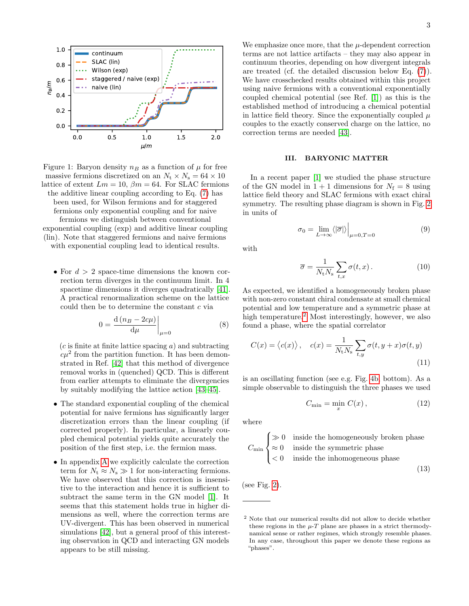<span id="page-2-0"></span>

Figure 1: Baryon density  $n_B$  as a function of  $\mu$  for free massive fermions discretized on an  $N_t \times N_s = 64 \times 10$ lattice of extent  $Lm = 10$ ,  $\beta m = 64$ . For SLAC fermions the additive linear coupling according to Eq. [\(7\)](#page-1-1) has been used, for Wilson fermions and for staggered fermions only exponential coupling and for naive fermions we distinguish between conventional exponential coupling (exp) and additive linear coupling (lin). Note that staggered fermions and naive fermions with exponential coupling lead to identical results.

• For  $d > 2$  space-time dimensions the known correction term diverges in the continuum limit. In 4 spacetime dimensions it diverges quadratically [\[41\]](#page-10-23). A practical renormalization scheme on the lattice could then be to determine the constant  $c$  via

$$
0 = \frac{\mathrm{d}\left(n_B - 2c\mu\right)}{\mathrm{d}\mu}\bigg|_{\mu=0} \tag{8}
$$

 $(c)$  is finite at finite lattice spacing a) and subtracting  $c\mu^2$  from the partition function. It has been demonstrated in Ref. [\[42\]](#page-10-24) that this method of divergence removal works in (quenched) QCD. This is different from earlier attempts to eliminate the divergencies by suitably modifying the lattice action [\[43–](#page-10-25)[45\]](#page-11-0).

- The standard exponential coupling of the chemical potential for naive fermions has significantly larger discretization errors than the linear coupling (if corrected properly). In particular, a linearly coupled chemical potential yields quite accurately the position of the first step, i.e. the fermion mass.
- In appendix [A](#page-8-0) we explicitly calculate the correction term for  $N_t \approx N_s \gg 1$  for non-interacting fermions. We have observed that this correction is insensitive to the interaction and hence it is sufficient to subtract the same term in the GN model [\[1\]](#page-9-0). It seems that this statement holds true in higher dimensions as well, where the correction terms are UV-divergent. This has been observed in numerical simulations [\[42\]](#page-10-24), but a general proof of this interesting observation in QCD and interacting GN models appears to be still missing.

We emphasize once more, that the  $\mu$ -dependent correction terms are not lattice artifacts – they may also appear in continuum theories, depending on how divergent integrals are treated (cf. the detailed discussion below Eq. [\(7\)](#page-1-1)). We have crosschecked results obtained within this project using naive fermions with a conventional exponentially coupled chemical potential (see Ref. [\[1\]](#page-9-0)) as this is the established method of introducing a chemical potential in lattice field theory. Since the exponentially coupled  $\mu$ couples to the exactly conserved charge on the lattice, no correction terms are needed [\[43\]](#page-10-25).

#### III. BARYONIC MATTER

In a recent paper [\[1\]](#page-9-0) we studied the phase structure of the GN model in  $1 + 1$  dimensions for  $N_f = 8$  using lattice field theory and SLAC fermions with exact chiral symmetry. The resulting phase diagram is shown in Fig. [2](#page-3-0) in units of

<span id="page-2-3"></span>
$$
\sigma_0 = \lim_{L \to \infty} \langle |\overline{\sigma}| \rangle \Big|_{\mu=0, T=0} \tag{9}
$$

with

<span id="page-2-4"></span>
$$
\overline{\sigma} = \frac{1}{N_{\text{t}} N_{\text{s}}} \sum_{t,x} \sigma(t,x). \tag{10}
$$

As expected, we identified a homogeneously broken phase with non-zero constant chiral condensate at small chemical potential and low temperature and a symmetric phase at high temperature.<sup>[2](#page-2-1)</sup> Most interestingly, however, we also found a phase, where the spatial correlator

$$
C(x) = \langle c(x) \rangle, \quad c(x) = \frac{1}{N_{\text{t}} N_{\text{s}}} \sum_{t,y} \sigma(t, y + x) \sigma(t, y)
$$
\n(11)

is an oscillating function (see e.g. Fig. [4b,](#page-4-0) bottom). As a simple observable to distinguish the three phases we used

<span id="page-2-2"></span>
$$
C_{\min} = \min_{x} C(x), \qquad (12)
$$

where

$$
C_{\min} \begin{cases} \gg 0 & \text{inside the homogeneously broken phase} \\ \approx 0 & \text{inside the symmetric phase} \\ < 0 & \text{inside the inhomogeneous phase} \end{cases}
$$
(13)

(see Fig. [2\)](#page-3-0).

<span id="page-2-1"></span><sup>2</sup> Note that our numerical results did not allow to decide whether these regions in the  $\mu$ -T plane are phases in a strict thermodynamical sense or rather regimes, which strongly resemble phases. In any case, throughout this paper we denote these regions as "phases".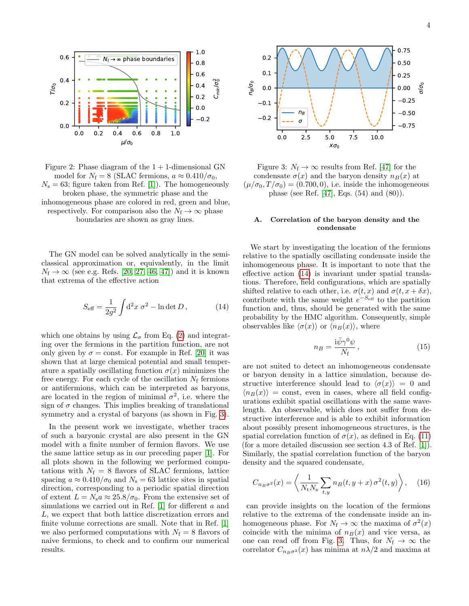<span id="page-3-0"></span>

Figure 2: Phase diagram of the  $1 + 1$ -dimensional GN model for  $N_f = 8$  (SLAC fermions,  $a \approx 0.410/\sigma_0$ ,  $N_s = 63$ ; figure taken from Ref. [\[1\]](#page-9-0)). The homogeneously broken phase, the symmetric phase and the inhomogeneous phase are colored in red, green and blue,

respectively. For comparison also the  $N_f \to \infty$  phase boundaries are shown as gray lines.

The GN model can be solved analytically in the semiclassical approximation or, equivalently, in the limit  $N_f \rightarrow \infty$  (see e.g. Refs. [\[20,](#page-10-10) [27,](#page-10-14) [46,](#page-11-1) [47\]](#page-11-2)) and it is known that extrema of the effective action

$$
S_{\text{eff}} = \frac{1}{2g^2} \int d^2x \ \sigma^2 - \ln \det D \,, \tag{14}
$$

which one obtains by using  $\mathcal{L}_{\sigma}$  from Eq. [\(2\)](#page-1-2) and integrating over the fermions in the partition function, are not only given by  $\sigma = \text{const.}$  For example in Ref. [\[20\]](#page-10-10) it was shown that at large chemical potential and small temperature a spatially oscillating function  $\sigma(x)$  minimizes the free energy. For each cycle of the oscillation  $N_f$  fermions or antifermions, which can be interpreted as baryons, are located in the region of minimal  $\sigma^2$ , i.e. where the sign of  $\sigma$  changes. This implies breaking of translational symmetry and a crystal of baryons (as shown in Fig. [3\)](#page-3-1).

In the present work we investigate, whether traces of such a baryonic crystal are also present in the GN model with a finite number of fermion flavors. We use the same lattice setup as in our preceding paper [\[1\]](#page-9-0). For all plots shown in the following we performed computations with  $N_f = 8$  flavors of SLAC fermions, lattice spacing  $a \approx 0.410/\sigma_0$  and  $N_s = 63$  lattice sites in spatial direction, corresponding to a periodic spatial direction of extent  $L = N_s a \approx 25.8/\sigma_0$ . From the extensive set of simulations we carried out in Ref. [\[1\]](#page-9-0) for different a and L, we expect that both lattice discretization errors and finite volume corrections are small. Note that in Ref. [\[1\]](#page-9-0) we also performed computations with  $N_f = 8$  flavors of naive fermions, to check and to confirm our numerical results.

<span id="page-3-1"></span>

Figure 3:  $N_f \rightarrow \infty$  results from Ref. [\[47\]](#page-11-2) for the condensate  $\sigma(x)$  and the baryon density  $n_B(x)$  at  $(\mu/\sigma_0, T/\sigma_0) = (0.700, 0)$ , i.e. inside the inhomogeneous phase (see Ref. [\[47\]](#page-11-2), Eqs. (54) and (80)).

### A. Correlation of the baryon density and the condensate

<span id="page-3-2"></span>We start by investigating the location of the fermions relative to the spatially oscillating condensate inside the inhomogeneous phase. It is important to note that the effective action [\(14\)](#page-3-2) is invariant under spatial translations. Therefore, field configurations, which are spatially shifted relative to each other, i.e.  $\sigma(t, x)$  and  $\sigma(t, x + \delta x)$ , contribute with the same weight  $e^{-S_{\text{eff}}}$  to the partition function and, thus, should be generated with the same probability by the HMC algorithm. Consequently, simple observables like  $\langle \sigma(x) \rangle$  or  $\langle n_B(x) \rangle$ , where

<span id="page-3-4"></span>
$$
n_B = \frac{\mathrm{i}\bar{\psi}\gamma^0\psi}{N_{\rm f}}\,,\tag{15}
$$

are not suited to detect an inhomogeneous condensate or baryon density in a lattice simulation, because destructive interference should lead to  $\langle \sigma(x) \rangle = 0$  and  $\langle n_B(x) \rangle$  = const, even in cases, where all field configurations exhibit spatial oscillations with the same wavelength. An observable, which does not suffer from destructive interference and is able to exhibit information about possibly present inhomogeneous structures, is the spatial correlation function of  $\sigma(x)$ , as defined in Eq. [\(11\)](#page-2-2) (for a more detailed discussion see section 4.3 of Ref. [\[1\]](#page-9-0)). Similarly, the spatial correlation function of the baryon density and the squared condensate,

<span id="page-3-3"></span>
$$
C_{n_B\sigma^2}(x) = \left\langle \frac{1}{N_\text{t}N_\text{s}} \sum_{t,y} n_B(t, y+x) \sigma^2(t, y) \right\rangle, \quad (16)
$$

can provide insights on the location of the fermions relative to the extrema of the condensate inside an inhomogeneous phase. For  $N_f \to \infty$  the maxima of  $\sigma^2(x)$ coincide with the minima of  $n_B(x)$  and vice versa, as one can read off from Fig. [3.](#page-3-1) Thus, for  $N_f \to \infty$  the correlator  $C_{n_B\sigma^2}(x)$  has minima at  $n\lambda/2$  and maxima at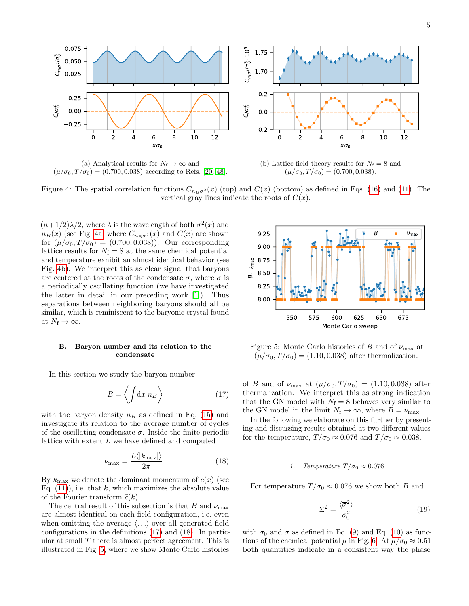<span id="page-4-0"></span>

(a) Analytical results for  $N_f \to \infty$  and  $(\mu/\sigma_0, T/\sigma_0) = (0.700, 0.038)$  according to Refs. [\[20,](#page-10-10) [48\]](#page-11-3).

(b) Lattice field theory results for  $N_f = 8$  and  $(\mu/\sigma_0, T/\sigma_0) = (0.700, 0.038).$ 

Figure 4: The spatial correlation functions  $C_{n_B\sigma^2}(x)$  (top) and  $C(x)$  (bottom) as defined in Eqs. [\(16\)](#page-3-3) and [\(11\)](#page-2-2). The vertical gray lines indicate the roots of  $C(x)$ .

 $(n+1/2)\lambda/2$ , where  $\lambda$  is the wavelength of both  $\sigma^2(x)$  and  $n_B(x)$  (see Fig. [4a,](#page-4-0) where  $C_{n_B\sigma^2}(x)$  and  $C(x)$  are shown for  $(\mu/\sigma_0, T/\sigma_0) = (0.700, 0.038)$ . Our corresponding lattice results for  $N_f = 8$  at the same chemical potential and temperature exhibit an almost identical behavior (see Fig. [4b\)](#page-4-0). We interpret this as clear signal that baryons are centered at the roots of the condensate  $\sigma$ , where  $\sigma$  is a periodically oscillating function (we have investigated the latter in detail in our preceding work [\[1\]](#page-9-0)). Thus separations between neighboring baryons should all be similar, which is reminiscent to the baryonic crystal found at  $N_{\rm f} \to \infty$ .

### B. Baryon number and its relation to the condensate

In this section we study the baryon number

$$
B = \left\langle \int \! \mathrm{d}x \; n_B \right\rangle \tag{17}
$$

with the baryon density  $n_B$  as defined in Eq. [\(15\)](#page-3-4) and investigate its relation to the average number of cycles of the oscillating condensate  $\sigma$ . Inside the finite periodic lattice with extent  $L$  we have defined and computed

$$
\nu_{\text{max}} = \frac{L \langle |k_{\text{max}}| \rangle}{2\pi} \,. \tag{18}
$$

By  $k_{\text{max}}$  we denote the dominant momentum of  $c(x)$  (see Eq.  $(11)$ , i.e. that k, which maximizes the absolute value of the Fourier transform  $\tilde{c}(k)$ .

The central result of this subsection is that B and  $\nu_{\text{max}}$ are almost identical on each field configuration, i.e. even when omitting the average  $\langle \ldots \rangle$  over all generated field configurations in the definitions [\(17\)](#page-4-1) and [\(18\)](#page-4-2). In particular at small T there is almost perfect agreement. This is illustrated in Fig. [5,](#page-4-3) where we show Monte Carlo histories

<span id="page-4-3"></span>

Figure 5: Monte Carlo histories of B and of  $\nu_{\text{max}}$  at  $(\mu/\sigma_0, T/\sigma_0) = (1.10, 0.038)$  after thermalization.

<span id="page-4-1"></span>of B and of  $\nu_{\text{max}}$  at  $(\mu/\sigma_0, T/\sigma_0) = (1.10, 0.038)$  after thermalization. We interpret this as strong indication that the GN model with  $N_f = 8$  behaves very similar to the GN model in the limit  $N_f \to \infty$ , where  $B = \nu_{\text{max}}$ .

<span id="page-4-2"></span>In the following we elaborate on this further by presenting and discussing results obtained at two different values for the temperature,  $T/\sigma_0 \approx 0.076$  and  $T/\sigma_0 \approx 0.038$ .

#### <span id="page-4-4"></span>1. Temperature  $T/\sigma_0 \approx 0.076$

For temperature  $T/\sigma_0 \approx 0.076$  we show both B and

$$
\Sigma^2 = \frac{\langle \overline{\sigma}^2 \rangle}{\sigma_0^2} \tag{19}
$$

with  $\sigma_0$  and  $\bar{\sigma}$  as defined in Eq. [\(9\)](#page-2-3) and Eq. [\(10\)](#page-2-4) as functions of the chemical potential  $\mu$  in Fig. [6.](#page-5-0) At  $\mu/\sigma_0 \approx 0.51$ both quantities indicate in a consistent way the phase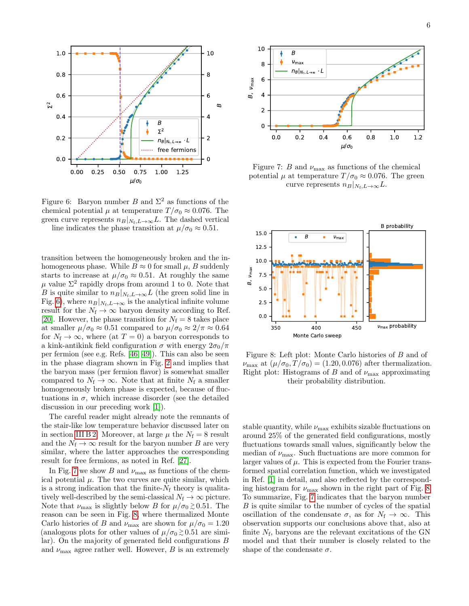<span id="page-5-0"></span>

Figure 6: Baryon number B and  $\Sigma^2$  as functions of the chemical potential  $\mu$  at temperature  $T/\sigma_0 \approx 0.076$ . The green curve represents  $n_B|_{N_f,L\to\infty}L$ . The dashed vertical line indicates the phase transition at  $\mu/\sigma_0 \approx 0.51$ .

transition between the homogeneously broken and the inhomogeneous phase. While  $B \approx 0$  for small  $\mu$ , B suddenly starts to increase at  $\mu/\sigma_0 \approx 0.51$ . At roughly the same  $\mu$  value  $\Sigma^2$  rapidly drops from around 1 to 0. Note that B is quite similar to  $n_B|_{N_f,L\to\infty}L$  (the green solid line in Fig. [6\)](#page-5-0), where  $n_B|_{N_f,L\to\infty}$  is the analytical infinite volume result for the  $N_f \to \infty$  baryon density according to Ref. [\[20\]](#page-10-10). However, the phase transition for  $N_f = 8$  takes place at smaller  $\mu/\sigma_0 \approx 0.51$  compared to  $\mu/\sigma_0 \approx 2/\pi \approx 0.64$ for  $N_f \to \infty$ , where (at  $T = 0$ ) a baryon corresponds to a kink-antikink field configuration  $\sigma$  with energy  $2\sigma_0/\pi$ per fermion (see e.g. Refs. [\[46,](#page-11-1) [49\]](#page-11-4)). This can also be seen in the phase diagram shown in Fig. [2](#page-3-0) and implies that the baryon mass (per fermion flavor) is somewhat smaller compared to  $N_f \to \infty$ . Note that at finite  $N_f$  a smaller homogeneously broken phase is expected, because of fluctuations in  $\sigma$ , which increase disorder (see the detailed discussion in our preceding work [\[1\]](#page-9-0)).

The careful reader might already note the remnants of the stair-like low temperature behavior discussed later on in section [III B 2.](#page-6-0) Moreover, at large  $\mu$  the  $N_f = 8$  result and the  $N_f \to \infty$  result for the baryon number B are very similar, where the latter approaches the corresponding result for free fermions, as noted in Ref. [\[27\]](#page-10-14).

In Fig. [7](#page-5-1) we show B and  $\nu_{\text{max}}$  as functions of the chemical potential  $\mu$ . The two curves are quite similar, which is a strong indication that the finite- $N_f$  theory is qualitatively well-described by the semi-classical  $N_f \to \infty$  picture. Note that  $\nu_{\text{max}}$  is slightly below B for  $\mu/\sigma_0 \gtrsim 0.51$ . The reason can be seen in Fig. [8,](#page-5-2) where thermalized Monte Carlo histories of B and  $\nu_{\text{max}}$  are shown for  $\mu/\sigma_0 = 1.20$ (analogous plots for other values of  $\mu/\sigma_0 \gtrsim 0.51$  are similar). On the majority of generated field configurations B and  $\nu_{\text{max}}$  agree rather well. However, B is an extremely

<span id="page-5-1"></span>

Figure 7: B and  $\nu_{\text{max}}$  as functions of the chemical potential  $\mu$  at temperature  $T/\sigma_0 \approx 0.076$ . The green curve represents  $n_B|_{N_f,L\to\infty}L$ .

<span id="page-5-2"></span>

Figure 8: Left plot: Monte Carlo histories of B and of  $\nu_{\text{max}}$  at  $(\mu/\sigma_0, T/\sigma_0) = (1.20, 0.076)$  after thermalization. Right plot: Histograms of B and of  $\nu_{\text{max}}$  approximating their probability distribution.

stable quantity, while  $\nu_{\text{max}}$  exhibits sizable fluctuations on around 25% of the generated field configurations, mostly fluctuations towards small values, significantly below the median of  $\nu_{\text{max}}$ . Such fluctuations are more common for larger values of  $\mu$ . This is expected from the Fourier transformed spatial correlation function, which we investigated in Ref. [\[1\]](#page-9-0) in detail, and also reflected by the corresponding histogram for  $\nu_{\text{max}}$  shown in the right part of Fig. [8.](#page-5-2) To summarize, Fig. [7](#page-5-1) indicates that the baryon number B is quite similar to the number of cycles of the spatial oscillation of the condensate  $\sigma$ , as for  $N_f \to \infty$ . This observation supports our conclusions above that, also at finite  $N_f$ , baryons are the relevant excitations of the GN model and that their number is closely related to the shape of the condensate  $\sigma$ .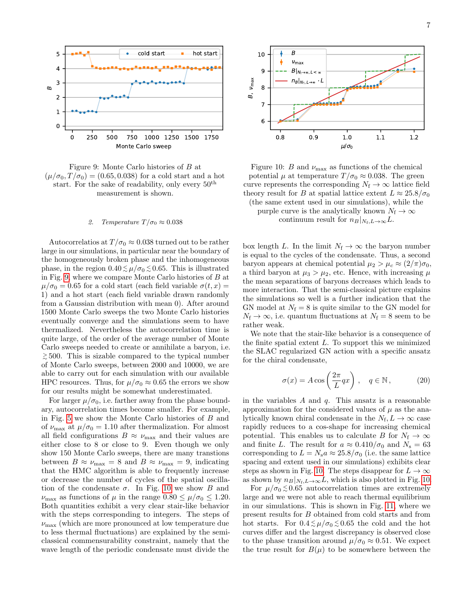<span id="page-6-1"></span>



#### <span id="page-6-0"></span>2. Temperature  $T/\sigma_0 \approx 0.038$

Autocorrelatios at  $T/\sigma_0 \approx 0.038$  turned out to be rather large in our simulations, in particular near the boundary of the homogeneously broken phase and the inhomogeneous phase, in the region  $0.40 \lesssim \mu/\sigma_0 \lesssim 0.65$ . This is illustrated in Fig. [9,](#page-6-1) where we compare Monte Carlo histories of B at  $\mu/\sigma_0 = 0.65$  for a cold start (each field variable  $\sigma(t, x) =$ 1) and a hot start (each field variable drawn randomly from a Gaussian distribution with mean 0). After around 1500 Monte Carlo sweeps the two Monte Carlo histories eventually converge and the simulations seem to have thermalized. Nevertheless the autocorrelation time is quite large, of the order of the average number of Monte Carlo sweeps needed to create or annihilate a baryon, i.e. > <sup>∼</sup> 500. This is sizable compared to the typical number of Monte Carlo sweeps, between 2000 and 10000, we are able to carry out for each simulation with our available HPC resources. Thus, for  $\mu/\sigma_0 \approx 0.65$  the errors we show for our results might be somewhat underestimated.

For larger  $\mu/\sigma_0$ , i.e. farther away from the phase boundary, autocorrelation times become smaller. For example, in Fig. [5](#page-4-3) we show the Monte Carlo histories of B and of  $\nu_{\text{max}}$  at  $\mu/\sigma_0 = 1.10$  after thermalization. For almost all field configurations  $B \approx \nu_{\text{max}}$  and their values are either close to 8 or close to 9. Even though we only show 150 Monte Carlo sweeps, there are many transtions between  $B \approx \nu_{\text{max}} = 8$  and  $B \approx \nu_{\text{max}} = 9$ , indicating that the HMC algorithm is able to frequently increase or decrease the number of cycles of the spatial oscillation of the condensate  $\sigma$ . In Fig. [10](#page-6-2) we show B and  $\nu_{\text{max}}$  as functions of  $\mu$  in the range  $0.80 \leq \mu/\sigma_0 \leq 1.20$ . Both quantities exhibit a very clear stair-like behavior with the steps corresponding to integers. The steps of  $\nu_{\text{max}}$  (which are more pronounced at low temperature due to less thermal fluctuations) are explained by the semiclassical commensurability constraint, namely that the wave length of the periodic condensate must divide the

<span id="page-6-2"></span>

Figure 10: B and  $\nu_{\text{max}}$  as functions of the chemical potential  $\mu$  at temperature  $T/\sigma_0 \approx 0.038$ . The green curve represents the corresponding  $N_f \to \infty$  lattice field theory result for B at spatial lattice extent  $L \approx 25.8/\sigma_0$ (the same extent used in our simulations), while the

purple curve is the analytically known  $N_f \to \infty$ continuum result for  $n_B|_{N_f,L\to\infty}L$ .

box length L. In the limit  $N_f \to \infty$  the baryon number is equal to the cycles of the condensate. Thus, a second baryon appears at chemical potential  $\mu_2 > \mu_c \approx (2/\pi)\sigma_0$ , a third baryon at  $\mu_3 > \mu_2$ , etc. Hence, with increasing  $\mu$ the mean separations of baryons decreases which leads to more interaction. That the semi-classical picture explains the simulations so well is a further indication that the GN model at  $N_f = 8$  is quite similar to the GN model for  $N_f \rightarrow \infty$ , i.e. quantum fluctuations at  $N_f = 8$  seem to be rather weak.

We note that the stair-like behavior is a consequence of the finite spatial extent  $L$ . To support this we minimized the SLAC regularized GN action with a specific ansatz for the chiral condensate,

$$
\sigma(x) = A \cos\left(\frac{2\pi}{L}qx\right), \quad q \in \mathbb{N},\tag{20}
$$

in the variables  $A$  and  $q$ . This ansatz is a reasonable approximation for the considered values of  $\mu$  as the analytically known chiral condensate in the  $N_f$ ,  $L \to \infty$  case rapidly reduces to a cos-shape for increasing chemical potential. This enables us to calculate B for  $N_f \to \infty$ and finite L. The result for  $a \approx 0.410/\sigma_0$  and  $N_s = 63$ corresponding to  $L = N_s a \approx 25.8/\sigma_0$  (i.e. the same lattice spacing and extent used in our simulations) exhibits clear steps as shown in Fig. [10.](#page-6-2) The steps disappear for  $L \to \infty$ as shown by  $n_B|_{N_f,L\to\infty}L$ , which is also plotted in Fig. [10.](#page-6-2)

For  $\mu/\sigma_0 \lesssim 0.65$  autocorrelation times are extremely large and we were not able to reach thermal equilibrium in our simulations. This is shown in Fig. [11,](#page-7-0) where we present results for B obtained from cold starts and from hot starts. For  $0.4 \lesssim \mu/\sigma_0 \lesssim 0.65$  the cold and the hot curves differ and the largest discrepancy is observed close to the phase transition around  $\mu/\sigma_0 \approx 0.51$ . We expect the true result for  $B(\mu)$  to be somewhere between the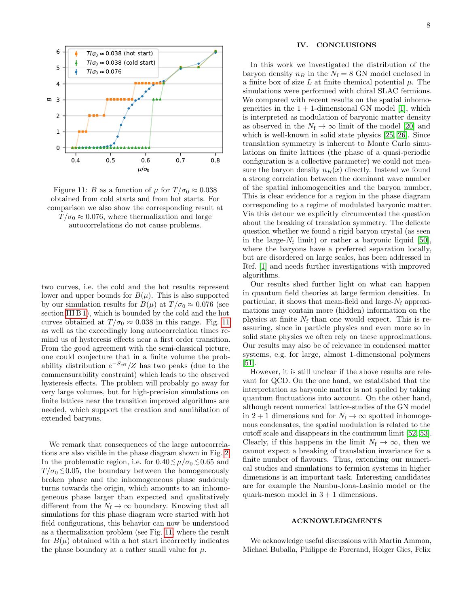<span id="page-7-0"></span>



two curves, i.e. the cold and the hot results represent lower and upper bounds for  $B(\mu)$ . This is also supported by our simulation results for  $B(\mu)$  at  $T/\sigma_0 \approx 0.076$  (see section [III B 1\)](#page-4-4), which is bounded by the cold and the hot curves obtained at  $T/\sigma_0 \approx 0.038$  in this range. Fig. [11](#page-7-0) as well as the exceedingly long autocorrelation times remind us of hysteresis effects near a first order transition. From the good agreement with the semi-classical picture, one could conjecture that in a finite volume the probability distribution  $e^{-S_{\text{eff}}}/Z$  has two peaks (due to the commensurability constraint) which leads to the observed hysteresis effects. The problem will probably go away for very large volumes, but for high-precision simulations on finite lattices near the transition improved algorithms are needed, which support the creation and annihilation of extended baryons.

We remark that consequences of the large autocorrelations are also visible in the phase diagram shown in Fig. [2.](#page-3-0) In the problematic region, i.e. for  $0.40 \lesssim \mu/\sigma_0 \lesssim 0.65$  and  $T/\sigma_0 \lesssim 0.05$ , the boundary between the homogeneously broken phase and the inhomogeneous phase suddenly turns towards the origin, which amounts to an inhomogeneous phase larger than expected and qualitatively different from the  $N_f \to \infty$  boundary. Knowing that all simulations for this phase diagram were started with hot field configurations, this behavior can now be understood as a thermalization problem (see Fig. [11,](#page-7-0) where the result for  $B(\mu)$  obtained with a hot start incorrectly indicates the phase boundary at a rather small value for  $\mu$ .

#### IV. CONCLUSIONS

In this work we investigated the distribution of the baryon density  $n_B$  in the  $N_f = 8$  GN model enclosed in a finite box of size L at finite chemical potential  $\mu$ . The simulations were performed with chiral SLAC fermions. We compared with recent results on the spatial inhomogeneities in the  $1 + 1$ -dimensional GN model [\[1\]](#page-9-0), which is interpreted as modulation of baryonic matter density as observed in the  $N_f \rightarrow \infty$  limit of the model [\[20\]](#page-10-10) and which is well-known in solid state physics [\[25,](#page-10-12) [26\]](#page-10-13). Since translation symmetry is inherent to Monte Carlo simulations on finite lattices (the phase of a quasi-periodic configuration is a collective parameter) we could not measure the baryon density  $n_B(x)$  directly. Instead we found a strong correlation between the dominant wave number of the spatial inhomogeneities and the baryon number. This is clear evidence for a region in the phase diagram corresponding to a regime of modulated baryonic matter. Via this detour we explicitly circumvented the question about the breaking of translation symmetry. The delicate question whether we found a rigid baryon crystal (as seen in the large- $N_f$  limit) or rather a baryonic liquid [\[50\]](#page-11-5), where the baryons have a preferred separation locally, but are disordered on large scales, has been addressed in Ref. [\[1\]](#page-9-0) and needs further investigations with improved algorithms.

Our results shed further light on what can happen in quantum field theories at large fermion densities. In particular, it shows that mean-field and large- $N_f$  approximations may contain more (hidden) information on the physics at finite  $N_f$  than one would expect. This is reassuring, since in particle physics and even more so in solid state physics we often rely on these approximations. Our results may also be of relevance in condensed matter systems, e.g. for large, almost 1-dimensional polymers [\[51\]](#page-11-6).

However, it is still unclear if the above results are relevant for QCD. On the one hand, we established that the interpretation as baryonic matter is not spoiled by taking quantum fluctuations into account. On the other hand, although recent numerical lattice-studies of the GN model in 2 + 1 dimensions and for  $N_f \rightarrow \infty$  spotted inhomogenous condensates, the spatial modulation is related to the cutoff scale and disappears in the continuum limit [\[52,](#page-11-7) [53\]](#page-11-8). Clearly, if this happens in the limit  $N_f \to \infty$ , then we cannot expect a breaking of translation invariance for a finite number of flavours. Thus, extending our numerical studies and simulations to fermion systems in higher dimensions is an important task. Interesting candidates are for example the Nambu-Jona-Lasinio model or the quark-meson model in  $3 + 1$  dimensions.

#### ACKNOWLEDGMENTS

We acknowledge useful discussions with Martin Ammon, Michael Buballa, Philippe de Forcrand, Holger Gies, Felix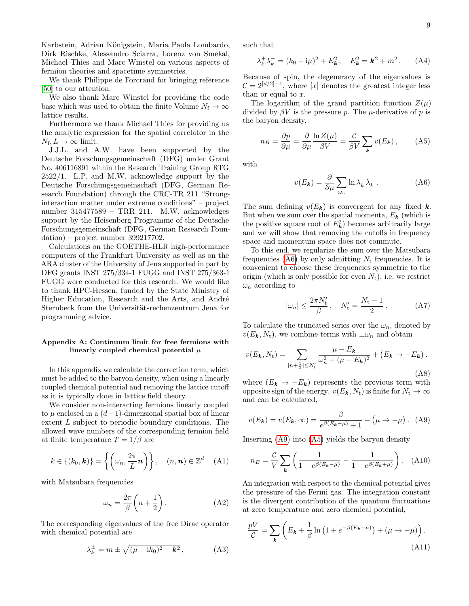Karbstein, Adrian Königstein, Maria Paola Lombardo, Dirk Rischke, Alessandro Sciarra, Lorenz von Smekal, Michael Thies and Marc Winstel on various aspects of fermion theories and spacetime symmetries.

We thank Philippe de Forcrand for bringing reference [\[50\]](#page-11-5) to our attention.

We also thank Marc Winstel for providing the code base which was used to obtain the finite Volume  $N_f \to \infty$ lattice results.

Furthermore we thank Michael Thies for providing us the analytic expression for the spatial correlator in the  $N_{\rm f}$ ,  $L \to \infty$  limit.

J.J.L. and A.W. have been supported by the Deutsche Forschungsgemeinschaft (DFG) under Grant No. 406116891 within the Research Training Group RTG 2522/1. L.P. and M.W. acknowledge support by the Deutsche Forschungsgemeinschaft (DFG, German Research Foundation) through the CRC-TR 211 "Stronginteraction matter under extreme conditions" – project number 315477589 – TRR 211. M.W. acknowledges support by the Heisenberg Programme of the Deutsche Forschungsgemeinschaft (DFG, German Research Foundation) – project number 399217702.

Calculations on the GOETHE-HLR high-performance computers of the Frankfurt University as well as on the ARA cluster of the University of Jena supported in part by DFG grants INST 275/334-1 FUGG and INST 275/363-1 FUGG were conducted for this research. We would like to thank HPC-Hessen, funded by the State Ministry of Higher Education, Research and the Arts, and André Sternbeck from the Universitätsrechenzentrum Jena for programming advice.

## <span id="page-8-0"></span>Appendix A: Continuum limit for free fermions with linearly coupled chemical potential  $\mu$

In this appendix we calculate the correction term, which must be added to the baryon density, when using a linearly coupled chemical potential and removing the lattice cutoff as it is typically done in lattice field theory.

We consider non-interacting fermions linearly coupled to  $\mu$  enclosed in a  $(d-1)$ -dimensional spatial box of linear extent L subject to periodic boundary conditions. The allowed wave numbers of the corresponding fermion field at finite temperature  $T = 1/\beta$  are

$$
k \in \{(k_0, \mathbf{k})\} = \left\{ \left( \omega_n, \frac{2\pi}{L} \mathbf{n} \right) \right\}, \quad (n, \mathbf{n}) \in \mathbb{Z}^d \quad (A1)
$$

with Matsubara frequencies

$$
\omega_n = \frac{2\pi}{\beta} \left( n + \frac{1}{2} \right). \tag{A2}
$$

The corresponding eigenvalues of the free Dirac operator with chemical potential are

$$
\lambda_k^{\pm} = m \pm \sqrt{(\mu + ik_0)^2 - \mathbf{k}^2} \,, \tag{A3}
$$

such that

$$
\lambda_k^+ \lambda_k^- = (k_0 - i\mu)^2 + E_k^2, \quad E_k^2 = k^2 + m^2. \tag{A4}
$$

Because of spin, the degeneracy of the eigenvalues is  $C = 2^{\lfloor d/2 \rfloor - 1}$ , where  $\lfloor x \rfloor$  denotes the greatest integer less than or equal to  $x$ .

The logarithm of the grand partition function  $Z(\mu)$ divided by  $\beta V$  is the pressure p. The  $\mu$ -derivative of p is the baryon density,

$$
n_B = \frac{\partial p}{\partial \mu} = \frac{\partial}{\partial \mu} \frac{\ln Z(\mu)}{\beta V} = \frac{\mathcal{C}}{\beta V} \sum_{\mathbf{k}} v(E_{\mathbf{k}}), \quad \text{(A5)}
$$

with

<span id="page-8-3"></span><span id="page-8-1"></span>
$$
v(E_k) = \frac{\partial}{\partial \mu} \sum_{\omega_n} \ln \lambda_k^+ \lambda_k^- \,. \tag{A6}
$$

The sum defining  $v(E_k)$  is convergent for any fixed k. But when we sum over the spatial momenta,  $E_{\mathbf{k}}$  (which is the positive square root of  $E_k^2$ ) becomes arbitrarily large and we will show that removing the cutoffs in frequency space and momentum space does not commute.

To this end, we regularize the sum over the Matsubara frequencies [\(A6\)](#page-8-1) by only admitting  $N_t$  frequencies. It is convenient to choose these frequencies symmetric to the origin (which is only possible for even  $N_t$ ), i.e. we restrict  $\omega_n$  according to

$$
|\omega_n| \le \frac{2\pi N'_t}{\beta}, \quad N'_t = \frac{N_t - 1}{2}.
$$
 (A7)

To calculate the truncated series over the  $\omega_n$ , denoted by  $v(E_k, N_t)$ , we combine terms with  $\pm \omega_n$  and obtain

<span id="page-8-4"></span>
$$
v(E_{\mathbf{k}}, N_{\mathbf{t}}) = \sum_{|n+\frac{1}{2}| \le N_{\mathbf{t}}'} \frac{\mu - E_{\mathbf{k}}}{\omega_n^2 + (\mu - E_{\mathbf{k}})^2} + (E_{\mathbf{k}} \to -E_{\mathbf{k}}).
$$
\n(A8)

where  $(E_k \rightarrow -E_k)$  represents the previous term with opposite sign of the energy.  $v(E_k, N_t)$  is finite for  $N_t \to \infty$ and can be calculated,

<span id="page-8-2"></span>
$$
v(E_{\mathbf{k}}) = v(E_{\mathbf{k}}, \infty) = \frac{\beta}{e^{\beta(E_{\mathbf{k}} - \mu)} + 1} - (\mu \to -\mu). \quad \text{(A9)}
$$

Inserting [\(A9\)](#page-8-2) into [\(A5\)](#page-8-3) yields the baryon density

$$
n_B = \frac{\mathcal{C}}{V} \sum_{\mathbf{k}} \left( \frac{1}{1 + e^{\beta(E_{\mathbf{k}} - \mu)}} - \frac{1}{1 + e^{\beta(E_{\mathbf{k}} + \mu)}} \right). \quad \text{(A10)}
$$

An integration with respect to the chemical potential gives the pressure of the Fermi gas. The integration constant is the divergent contribution of the quantum fluctuations at zero temperature and zero chemical potential,

$$
\frac{pV}{\mathcal{C}} = \sum_{\mathbf{k}} \left( E_{\mathbf{k}} + \frac{1}{\beta} \ln \left( 1 + e^{-\beta (E_{\mathbf{k}} - \mu)} \right) + (\mu \to -\mu) \right). \tag{A11}
$$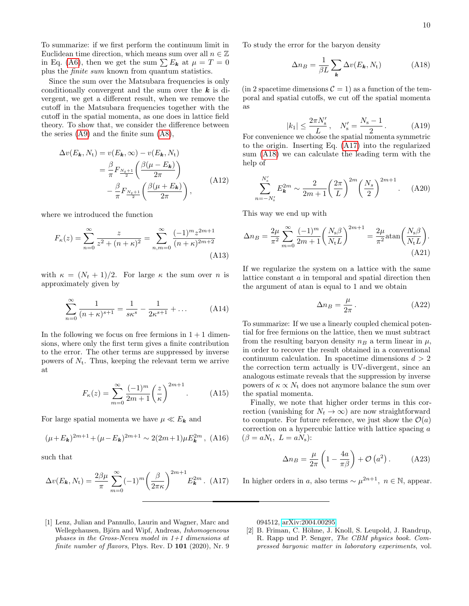To summarize: if we first perform the continuum limit in Euclidean time direction, which means sum over all  $n \in \mathbb{Z}$ in Eq. [\(A6\)](#page-8-1), then we get the sum  $\sum E_k$  at  $\mu = T = 0$ plus the finite sum known from quantum statistics.

Since the sum over the Matsubara frequencies is only conditionally convergent and the sum over the  $k$  is divergent, we get a different result, when we remove the cutoff in the Matsubara frequencies together with the cutoff in the spatial momenta, as one does in lattice field theory. To show that, we consider the difference between the series [\(A9\)](#page-8-2) and the finite sum [\(A8\)](#page-8-4),

$$
\Delta v(E_{\mathbf{k}}, N_{\mathbf{t}}) = v(E_{\mathbf{k}}, \infty) - v(E_{\mathbf{k}}, N_{\mathbf{t}})
$$

$$
= \frac{\beta}{\pi} F_{\frac{N_{t}+1}{2}} \left( \frac{\beta(\mu - E_{\mathbf{k}})}{2\pi} \right)
$$

$$
- \frac{\beta}{\pi} F_{\frac{N_{t}+1}{2}} \left( \frac{\beta(\mu + E_{\mathbf{k}})}{2\pi} \right), \tag{A12}
$$

where we introduced the function

$$
F_{\kappa}(z) = \sum_{n=0}^{\infty} \frac{z}{z^2 + (n+\kappa)^2} = \sum_{n,m=0}^{\infty} \frac{(-1)^m z^{2m+1}}{(n+\kappa)^{2m+2}}
$$
(A13)

with  $\kappa = (N_t + 1)/2$ . For large  $\kappa$  the sum over *n* is approximately given by

$$
\sum_{n=0}^{\infty} \frac{1}{(n+\kappa)^{s+1}} = \frac{1}{s\kappa^s} - \frac{1}{2\kappa^{s+1}} + \dots
$$
 (A14)

In the following we focus on free fermions in  $1+1$  dimensions, where only the first term gives a finite contribution to the error. The other terms are suppressed by inverse powers of  $N_t$ . Thus, keeping the relevant term we arrive at

$$
F_{\kappa}(z) = \sum_{m=0}^{\infty} \frac{(-1)^m}{2m+1} \left(\frac{z}{\kappa}\right)^{2m+1}.
$$
 (A15)

For large spatial momenta we have  $\mu \ll E_k$  and

$$
(\mu + E_{\mathbf{k}})^{2m+1} + (\mu - E_{\mathbf{k}})^{2m+1} \sim 2(2m+1)\mu E_{\mathbf{k}}^{2m}, \text{ (A16)}
$$

such that

<span id="page-9-2"></span>
$$
\Delta v(E_{\mathbf{k}}, N_{\mathrm{t}}) = \frac{2\beta\mu}{\pi} \sum_{m=0}^{\infty} (-1)^m \left(\frac{\beta}{2\pi\kappa}\right)^{2m+1} E_{\mathbf{k}}^{2m} .
$$
 (A17)

To study the error for the baryon density

<span id="page-9-3"></span>
$$
\Delta n_B = \frac{1}{\beta L} \sum_{\mathbf{k}} \Delta v(E_{\mathbf{k}}, N_{\mathrm{t}}) \tag{A18}
$$

 $(in 2 spacetime dimensions  $C = 1)$  as a function of the tem$ poral and spatial cutoffs, we cut off the spatial momenta as

$$
|k_1| \le \frac{2\pi N_s'}{L}, \quad N_s' = \frac{N_s - 1}{2} \,. \tag{A19}
$$

For convenience we choose the spatial momenta symmetric to the origin. Inserting Eq. [\(A17\)](#page-9-2) into the regularized sum [\(A18\)](#page-9-3) we can calculate the leading term with the help of

$$
\sum_{n=-N'_s}^{N'_s} E_{\mathbf{k}}^{2m} \sim \frac{2}{2m+1} \left(\frac{2\pi}{L}\right)^{2m} \left(\frac{N_s}{2}\right)^{2m+1}.
$$
 (A20)

This way we end up with

$$
\Delta n_B = \frac{2\mu}{\pi^2} \sum_{m=0}^{\infty} \frac{(-1)^m}{2m+1} \left(\frac{N_s \beta}{N_t L}\right)^{2m+1} = \frac{2\mu}{\pi^2} \operatorname{atan}\left(\frac{N_s \beta}{N_t L}\right). \tag{A21}
$$

If we regularize the system on a lattice with the same lattice constant a in temporal and spatial direction then the argument of atan is equal to 1 and we obtain

$$
\Delta n_B = \frac{\mu}{2\pi} \,. \tag{A22}
$$

To summarize: If we use a linearly coupled chemical potential for free fermions on the lattice, then we must subtract from the resulting baryon density  $n_B$  a term linear in  $\mu$ , in order to recover the result obtained in a conventional continuum calculation. In spacetime dimensions  $d > 2$ the correction term actually is UV-divergent, since an analogous estimate reveals that the suppression by inverse powers of  $\kappa \propto N_t$  does not anymore balance the sum over the spatial momenta.

Finally, we note that higher order terms in this correction (vanishing for  $N_t \to \infty$ ) are now straightforward to compute. For future reference, we just show the  $\mathcal{O}(a)$ correction on a hypercubic lattice with lattice spacing a  $(\beta = aN_t, L = aN_s):$ 

$$
\Delta n_B = \frac{\mu}{2\pi} \left( 1 - \frac{4a}{\pi \beta} \right) + \mathcal{O}\left(a^2\right). \tag{A23}
$$

In higher orders in a, also terms  $\sim \mu^{2n+1}$ ,  $n \in \mathbb{N}$ , appear.

<span id="page-9-0"></span>[1] Lenz, Julian and Pannullo, Laurin and Wagner, Marc and Wellegehausen, Björn and Wipf, Andreas, Inhomogeneous phases in the Gross-Neveu model in  $1+1$  dimensions at finite number of flavors, Phys. Rev. D 101 (2020), Nr. 9 094512, [arXiv:2004.00295.](https://arxiv.org/abs/2004.00295)

<span id="page-9-1"></span>[2] B. Friman, C. Höhne, J. Knoll, S. Leupold, J. Randrup, R. Rapp und P. Senger, The CBM physics book. Compressed baryonic matter in laboratory experiments, vol.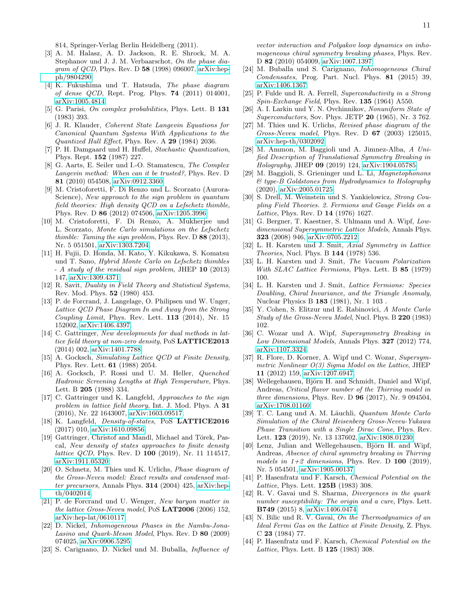814, Springer-Verlag Berlin Heidelberg (2011).

- <span id="page-10-0"></span>[3] A. M. Halasz, A. D. Jackson, R. E. Shrock, M. A. Stephanov und J. J. M. Verbaarschot, On the phase diagram of QCD, Phys. Rev. D 58 (1998) 096007, [arXiv:hep](https://arxiv.org/abs/hep-ph/9804290)[ph/9804290.](https://arxiv.org/abs/hep-ph/9804290)
- <span id="page-10-1"></span>[4] K. Fukushima und T. Hatsuda, The phase diagram of dense QCD, Rept. Prog. Phys. 74 (2011) 014001, [arXiv:1005.4814.](https://arxiv.org/abs/1005.4814)
- <span id="page-10-2"></span>[5] G. Parisi, On complex probabilities, Phys. Lett. B 131 (1983) 393.
- [6] J. R. Klauder, Coherent State Langevin Equations for Canonical Quantum Systems With Applications to the Quantized Hall Effect, Phys. Rev. A 29 (1984) 2036.
- [7] P. H. Damgaard und H. Huffel, Stochastic Quantization, Phys. Rept. 152 (1987) 227.
- <span id="page-10-3"></span>[8] G. Aarts, E. Seiler und I.-O. Stamatescu, The Complex Langevin method: When can it be trusted?, Phys. Rev. D 81 (2010) 054508, [arXiv:0912.3360.](https://arxiv.org/abs/0912.3360)
- <span id="page-10-4"></span>[9] M. Cristoforetti, F. Di Renzo und L. Scorzato (Aurora-Science), New approach to the sign problem in quantum field theories: High density QCD on a Lefschetz thimble, Phys. Rev. D 86 (2012) 074506, [arXiv:1205.3996.](https://arxiv.org/abs/1205.3996)
- [10] M. Cristoforetti, F. Di Renzo, A. Mukherjee und L. Scorzato, Monte Carlo simulations on the Lefschetz thimble: Taming the sign problem, Phys. Rev. D 88 (2013), Nr. 5 051501, [arXiv:1303.7204.](https://arxiv.org/abs/1303.7204)
- <span id="page-10-5"></span>[11] H. Fujii, D. Honda, M. Kato, Y. Kikukawa, S. Komatsu und T. Sano, Hybrid Monte Carlo on Lefschetz thimbles - A study of the residual sign problem, JHEP 10 (2013) 147, [arXiv:1309.4371.](https://arxiv.org/abs/1309.4371)
- <span id="page-10-6"></span>[12] R. Savit, Duality in Field Theory and Statistical Systems, Rev. Mod. Phys. 52 (1980) 453.
- [13] P. de Forcrand, J. Langelage, O. Philipsen und W. Unger, Lattice QCD Phase Diagram In and Away from the Strong Coupling Limit, Phys. Rev. Lett. 113 (2014), Nr. 15 152002, [arXiv:1406.4397.](https://arxiv.org/abs/1406.4397)
- <span id="page-10-7"></span>[14] C. Gattringer, New developments for dual methods in lattice field theory at non-zero density, PoS LATTICE2013 (2014) 002, [arXiv:1401.7788.](https://arxiv.org/abs/1401.7788)
- <span id="page-10-8"></span>[15] A. Gocksch, Simulating Lattice QCD at Finite Density, Phys. Rev. Lett. 61 (1988) 2054.
- [16] A. Gocksch, P. Rossi und U. M. Heller, Quenched Hadronic Screening Lengths at High Temperature, Phys. Lett. B 205 (1988) 334.
- [17] C. Gattringer und K. Langfeld, Approaches to the sign problem in lattice field theory, Int. J. Mod. Phys. A 31 (2016), Nr. 22 1643007, [arXiv:1603.09517.](https://arxiv.org/abs/1603.09517)
- [18] K. Langfeld, *Density-of-states*, PoS LATTICE2016 (2017) 010, [arXiv:1610.09856.](https://arxiv.org/abs/1610.09856)
- <span id="page-10-9"></span>[19] Gattringer, Christof and Mandl, Michael and Törek, Pascal, New density of states approaches to finite density lattice QCD, Phys. Rev. D 100 (2019), Nr. 11 114517, [arXiv:1911.05320.](https://arxiv.org/abs/1911.05320)
- <span id="page-10-10"></span>[20] O. Schnetz, M. Thies und K. Urlichs, *Phase diagram of* the Gross-Neveu model: Exact results and condensed matter precursors, Annals Phys. 314 (2004) 425, [arXiv:hep](https://arxiv.org/abs/hep-th/0402014)[th/0402014.](https://arxiv.org/abs/hep-th/0402014)
- [21] P. de Forcrand und U. Wenger, New baryon matter in the lattice Gross-Neveu model, PoS LAT2006 (2006) 152, [arXiv:hep-lat/0610117.](https://arxiv.org/abs/hep-lat/0610117)
- [22] D. Nickel, Inhomogeneous Phases in the Nambu-Jona-Lasino and Quark-Meson Model, Phys. Rev. D 80 (2009) 074025, [arXiv:0906.5295.](https://arxiv.org/abs/0906.5295)
- [23] S. Carignano, D. Nickel und M. Buballa, *Influence of*

vector interaction and Polyakov loop dynamics on inhomogeneous chiral symmetry breaking phases, Phys. Rev. D 82 (2010) 054009, [arXiv:1007.1397.](https://arxiv.org/abs/1007.1397)

- <span id="page-10-11"></span>[24] M. Buballa und S. Carignano, Inhomogeneous Chiral Condensates, Prog. Part. Nucl. Phys. 81 (2015) 39, [arXiv:1406.1367.](https://arxiv.org/abs/1406.1367)
- <span id="page-10-12"></span>[25] P. Fulde und R. A. Ferrell, Superconductivity in a Strong Spin-Exchange Field, Phys. Rev. 135 (1964) A550.
- <span id="page-10-13"></span>[26] A. I. Larkin und Y. N. Ovchinnikov, Nonuniform State of Superconductors, Sov. Phys. JETP 20 (1965), Nr. 3 762.
- <span id="page-10-14"></span>[27] M. Thies und K. Urlichs, Revised phase diagram of the Gross-Neveu model, Phys. Rev. D 67 (2003) 125015, [arXiv:hep-th/0302092.](https://arxiv.org/abs/hep-th/0302092)
- <span id="page-10-15"></span>[28] M. Ammon, M. Baggioli und A. Jimnez-Alba, A Unified Description of Translational Symmetry Breaking in Holography, JHEP 09 (2019) 124, [arXiv:1904.05785.](https://arxiv.org/abs/1904.05785)
- <span id="page-10-16"></span>[29] M. Baggioli, S. Grieninger und L. Li, Magnetophonons & type-B Goldstones from Hydrodynamics to Holography (2020), [arXiv:2005.01725.](https://arxiv.org/abs/2005.01725)
- <span id="page-10-17"></span>[30] S. Drell, M. Weinstein und S. Yankielowicz, Strong Coupling Field Theories. 2. Fermions and Gauge Fields on a Lattice, Phys. Rev. D **14** (1976) 1627.
- <span id="page-10-18"></span>[31] G. Bergner, T. Kaestner, S. Uhlmann und A. Wipf, Lowdimensional Supersymmetric Lattice Models, Annals Phys. 323 (2008) 946, [arXiv:0705.2212.](https://arxiv.org/abs/0705.2212)
- <span id="page-10-19"></span>[32] L. H. Karsten und J. Smit, Axial Symmetry in Lattice Theories, Nucl. Phys. B 144 (1978) 536.
- [33] L. H. Karsten und J. Smit, The Vacuum Polarization With SLAC Lattice Fermions, Phys. Lett. B 85 (1979) 100.
- <span id="page-10-20"></span>[34] L. H. Karsten und J. Smit, Lattice Fermions: Species Doubling, Chiral Invariance, and the Triangle Anomaly, Nuclear Physics B 183 (1981), Nr. 1 103 .
- <span id="page-10-21"></span>[35] Y. Cohen, S. Elitzur und E. Rabinovici, A Monte Carlo Study of the Gross-Neveu Model, Nucl. Phys. B 220 (1983) 102.
- [36] C. Wozar und A. Wipf, Supersymmetry Breaking in Low Dimensional Models, Annals Phys. 327 (2012) 774, [arXiv:1107.3324.](https://arxiv.org/abs/1107.3324)
- [37] R. Flore, D. Korner, A. Wipf und C. Wozar, Supersymmetric Nonlinear O(3) Sigma Model on the Lattice, JHEP 11 (2012) 159, [arXiv:1207.6947.](https://arxiv.org/abs/1207.6947)
- [38] Wellegehausen, Björn H. and Schmidt, Daniel and Wipf, Andreas, Critical flavor number of the Thirring model in three dimensions, Phys. Rev. D 96 (2017), Nr. 9 094504, [arXiv:1708.01160.](https://arxiv.org/abs/1708.01160)
- [39] T. C. Lang und A. M. Läuchli, Quantum Monte Carlo Simulation of the Chiral Heisenberg Gross-Neveu-Yukawa Phase Transition with a Single Dirac Cone, Phys. Rev. Lett. 123 (2019), Nr. 13 137602, [arXiv:1808.01230.](https://arxiv.org/abs/1808.01230)
- <span id="page-10-22"></span>[40] Lenz, Julian and Wellegehausen, Björn H. and Wipf, Andreas, Absence of chiral symmetry breaking in Thirring models in  $1+2$  dimensions, Phys. Rev. D 100 (2019), Nr. 5 054501, [arXiv:1905.00137.](https://arxiv.org/abs/1905.00137)
- <span id="page-10-23"></span>[41] P. Hasenfratz und F. Karsch, Chemical Potential on the Lattice, Phys. Lett. 125B (1983) 308.
- <span id="page-10-24"></span>[42] R. V. Gavai und S. Sharma, Divergences in the quark number susceptibility: The origin and a cure, Phys. Lett. B749 (2015) 8, [arXiv:1406.0474.](https://arxiv.org/abs/1406.0474)
- <span id="page-10-25"></span>[43] N. Bilic und R. V. Gavai, On the Thermodynamics of an Ideal Fermi Gas on the Lattice at Finite Density, Z. Phys. C 23 (1984) 77.
- [44] P. Hasenfratz und F. Karsch, Chemical Potential on the Lattice, Phys. Lett. B 125 (1983) 308.